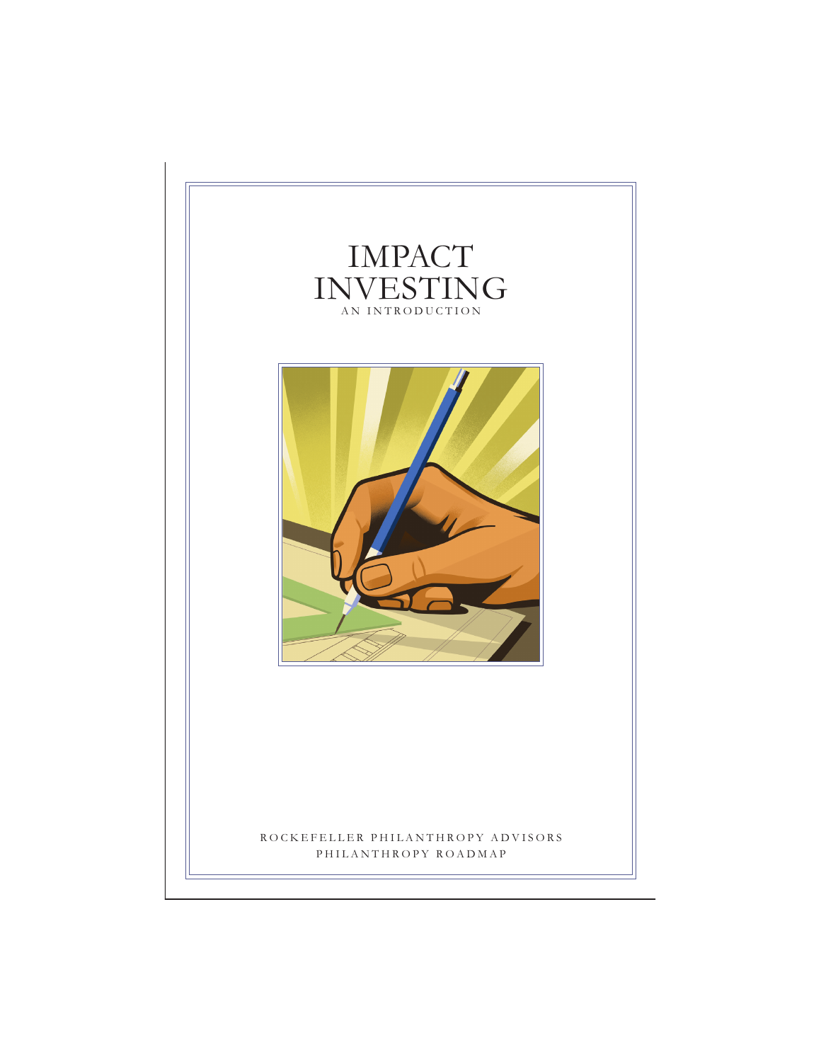



# ROCKEFELLER PHILANTHROPY ADVISORS PHILANTHROPY ROADMAP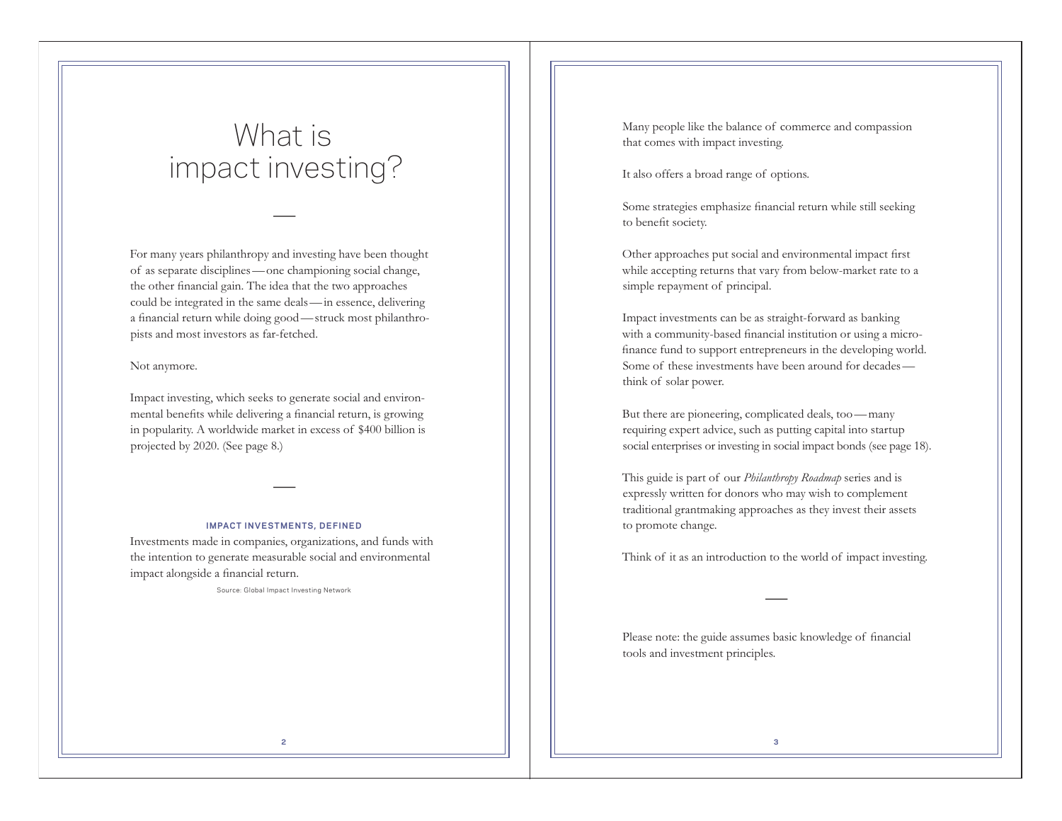# What is impact investing?

—

For many years philanthropy and investing have been thought of as separate disciplines—one championing social change, the other financial gain. The idea that the two approaches could be integrated in the same deals—in essence, delivering a financial return while doing good—struck most philanthropists and most investors as far-fetched.

Not anymore.

Impact investing, which seeks to generate social and environmental benefits while delivering a financial return, is growing in popularity. A worldwide market in excess of \$400 billion is projected by 2020. (See page 8.)

# **IMPACT INVESTMENTS, DEFINED**

and the control of the control of the control of the

Investments made in companies, organizations, and funds with the intention to generate measurable social and environmental impact alongside a financial return.

Source: Global Impact Investing Network

Many people like the balance of commerce and compassion that comes with impact investing.

It also offers a broad range of options.

Some strategies emphasize financial return while still seeking to benefit society.

Other approaches put social and environmental impact first while accepting returns that vary from below-market rate to a simple repayment of principal.

Impact investments can be as straight-forward as banking with a community-based financial institution or using a microfinance fund to support entrepreneurs in the developing world. Some of these investments have been around for decades think of solar power.

But there are pioneering, complicated deals, too—many requiring expert advice, such as putting capital into startup social enterprises or investing in social impact bonds (see page 18).

This guide is part of our *Philanthropy Roadmap* series and is expressly written for donors who may wish to complement traditional grantmaking approaches as they invest their assets to promote change.

Think of it as an introduction to the world of impact investing.

Please note: the guide assumes basic knowledge of financial tools and investment principles.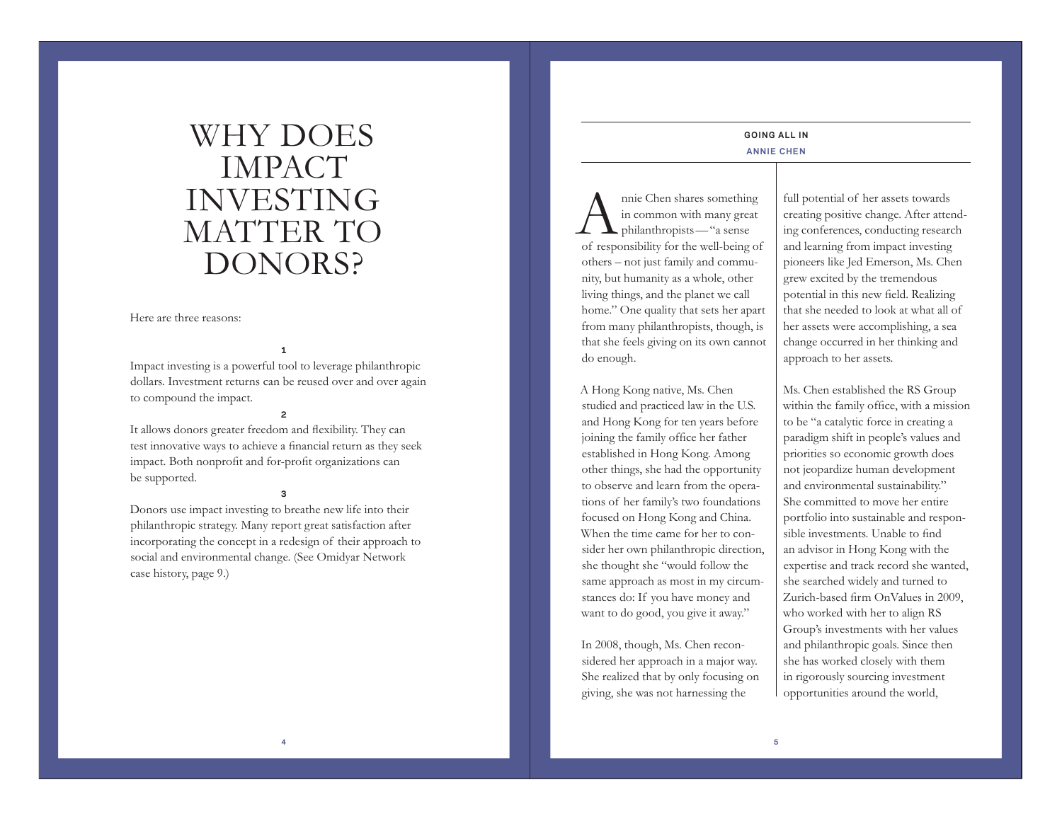# WHY DOES **ALL IN** SOING ALL IN IMPACT INVESTING MATTER TO DONORS?

# Here are three reasons:

#### **1**

Impact investing is a powerful tool to leverage philanthropic dollars. Investment returns can be reused over and over again to compound the impact.

#### **2**

It allows donors greater freedom and flexibility. They can test innovative ways to achieve a financial return as they seek impact. Both nonprofit and for-profit organizations can be supported.

#### **3**

Donors use impact investing to breathe new life into their philanthropic strategy. Many report great satisfaction after incorporating the concept in a redesign of their approach to social and environmental change. (See Omidyar Network case history, page 9.)

# **ANNIE CHEN**

nnie Chen shares something<br>in common with many great philanthropists — "a sense" of responsibility for the well-being of others – not just family and community, but humanity as a whole, other living things, and the planet we call home." One quality that sets her apart from many philanthropists, though, is that she feels giving on its own cannot do enough.

A Hong Kong native, Ms. Chen studied and practiced law in the U.S. and Hong Kong for ten years before joining the family office her father established in Hong Kong. Among other things, she had the opportunity to observe and learn from the operations of her family's two foundations focused on Hong Kong and China. When the time came for her to consider her own philanthropic direction, she thought she "would follow the same approach as most in my circumstances do: If you have money and want to do good, you give it away."

In 2008, though, Ms. Chen reconsidered her approach in a major way. She realized that by only focusing on giving, she was not harnessing the

full potential of her assets towards creating positive change. After attending conferences, conducting research and learning from impact investing pioneers like Jed Emerson, Ms. Chen grew excited by the tremendous potential in this new field. Realizing that she needed to look at what all of her assets were accomplishing, a sea change occurred in her thinking and approach to her assets.

Ms. Chen established the RS Group within the family office, with a mission to be "a catalytic force in creating a paradigm shift in people's values and priorities so economic growth does not jeopardize human development and environmental sustainability." She committed to move her entire portfolio into sustainable and responsible investments. Unable to find an advisor in Hong Kong with the expertise and track record she wanted, she searched widely and turned to Zurich-based firm OnValues in 2009, who worked with her to align RS Group's investments with her values and philanthropic goals. Since then she has worked closely with them in rigorously sourcing investment opportunities around the world,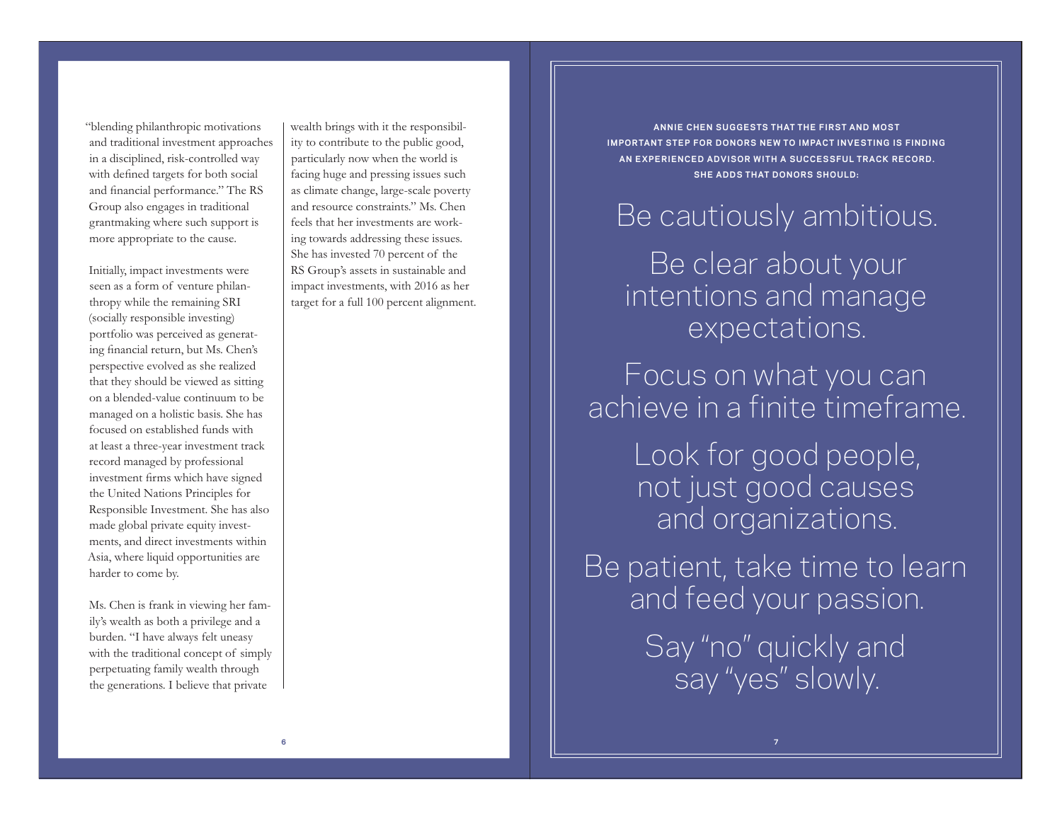"blending philanthropic motivations and traditional investment approaches in a disciplined, risk-controlled way with defined targets for both social and financial performance." The RS Group also engages in traditional grantmaking where such support is more appropriate to the cause.

Initially, impact investments were seen as a form of venture philanthropy while the remaining SRI (socially responsible investing) portfolio was perceived as generating financial return, but Ms. Chen's perspective evolved as she realized that they should be viewed as sitting on a blended-value continuum to be managed on a holistic basis. She has focused on established funds with at least a three-year investment track record managed by professional investment firms which have signed the United Nations Principles for Responsible Investment. She has also made global private equity investments, and direct investments within Asia, where liquid opportunities are harder to come by.

Ms. Chen is frank in viewing her family's wealth as both a privilege and a burden. "I have always felt uneasy with the traditional concept of simply perpetuating family wealth through the generations. I believe that private

wealth brings with it the responsibility to contribute to the public good, particularly now when the world is facing huge and pressing issues such as climate change, large-scale poverty and resource constraints." Ms. Chen feels that her investments are working towards addressing these issues. She has invested 70 percent of the RS Group's assets in sustainable and impact investments, with 2016 as her target for a full 100 percent alignment.

**ANNIE CHEN SUGGESTS THAT THE FIRST AND MOST IMPORTANT STEP FOR DONORS NEW TO IMPACT INVESTING IS FINDING AN EXPERIENCED ADVISOR WITH A SUCCESSFUL TRACK RECORD. SHE ADDS THAT DONORS SHOULD:**

# Be cautiously ambitious.

Be clear about your intentions and manage expectations.

Focus on what you can achieve in a finite timeframe.

> Look for good people, not just good causes and organizations.

Be patient, take time to learn and feed your passion.

> Say "no" quickly and say "yes" slowly.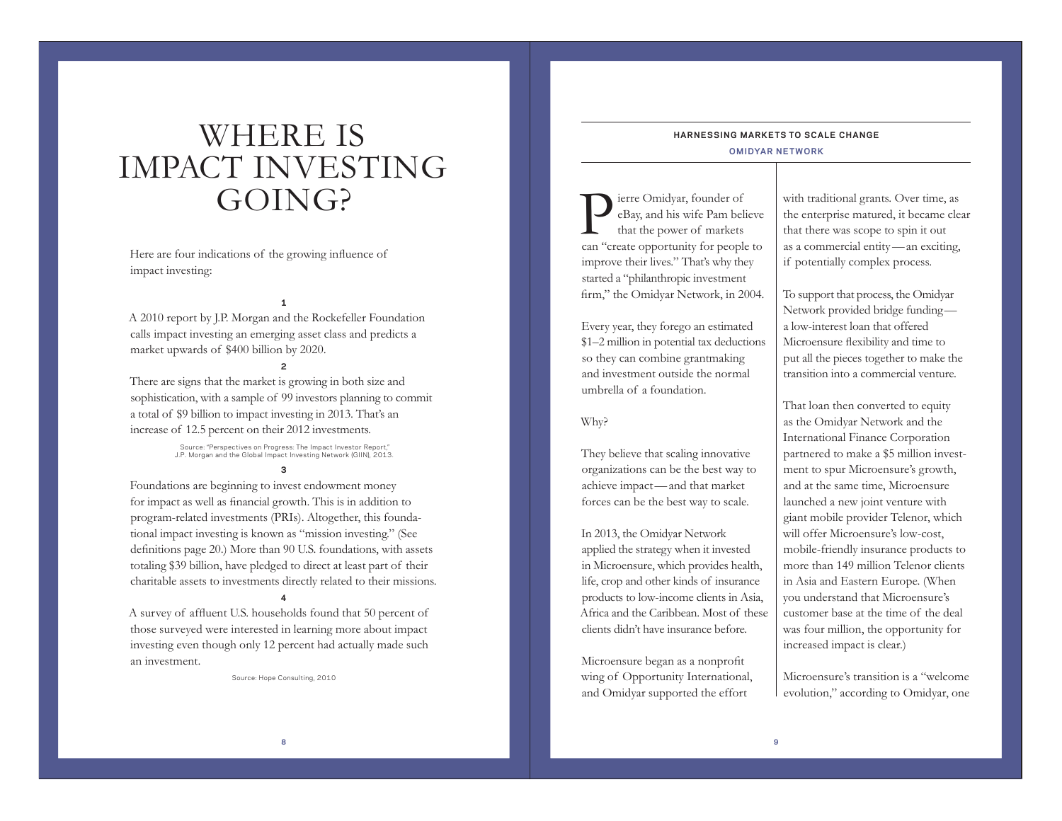# WHERE IS **WHERE IS** IMPACT INVESTING GOING?

Here are four indications of the growing influence of impact investing:

**1**

A 2010 report by J.P. Morgan and the Rockefeller Foundation calls impact investing an emerging asset class and predicts a market upwards of \$400 billion by 2020.

**2**

There are signs that the market is growing in both size and sophistication, with a sample of 99 investors planning to commit a total of \$9 billion to impact investing in 2013. That's an increase of 12.5 percent on their 2012 investments.

Source: "Perspectives on Progress: The Impact Investor Report," J.P. Morgan and the Global Impact Investing Network (GIIN), 2013.

**3**

Foundations are beginning to invest endowment money for impact as well as financial growth. This is in addition to program-related investments (PRIs). Altogether, this foundational impact investing is known as "mission investing." (See definitions page 20.) More than 90 U.S. foundations, with assets totaling \$39 billion, have pledged to direct at least part of their charitable assets to investments directly related to their missions.

### **4**

A survey of affluent U.S. households found that 50 percent of those surveyed were interested in learning more about impact investing even though only 12 percent had actually made such an investment.

Source: Hope Consulting, 2010

# **OMIDYAR NETWORK**

Pierre Omidyar, founder of eBay, and his wife Pam believe that the power of markets can "create opportunity for people to improve their lives." That's why they started a "philanthropic investment firm," the Omidyar Network, in 2004.

Every year, they forego an estimated \$1–2 million in potential tax deductions so they can combine grantmaking and investment outside the normal umbrella of a foundation.

# Why?

They believe that scaling innovative organizations can be the best way to achieve impact—and that market forces can be the best way to scale.

In 2013, the Omidyar Network applied the strategy when it invested in Microensure, which provides health, life, crop and other kinds of insurance products to low-income clients in Asia, Africa and the Caribbean. Most of these clients didn't have insurance before.

Microensure began as a nonprofit wing of Opportunity International, and Omidyar supported the effort

with traditional grants. Over time, as the enterprise matured, it became clear that there was scope to spin it out as a commercial entity—an exciting, if potentially complex process.

To support that process, the Omidyar Network provided bridge funding a low-interest loan that offered Microensure flexibility and time to put all the pieces together to make the transition into a commercial venture.

That loan then converted to equity as the Omidyar Network and the International Finance Corporation partnered to make a \$5 million investment to spur Microensure's growth, and at the same time, Microensure launched a new joint venture with giant mobile provider Telenor, which will offer Microensure's low-cost, mobile-friendly insurance products to more than 149 million Telenor clients in Asia and Eastern Europe. (When you understand that Microensure's customer base at the time of the deal was four million, the opportunity for increased impact is clear.)

Microensure's transition is a "welcome evolution," according to Omidyar, one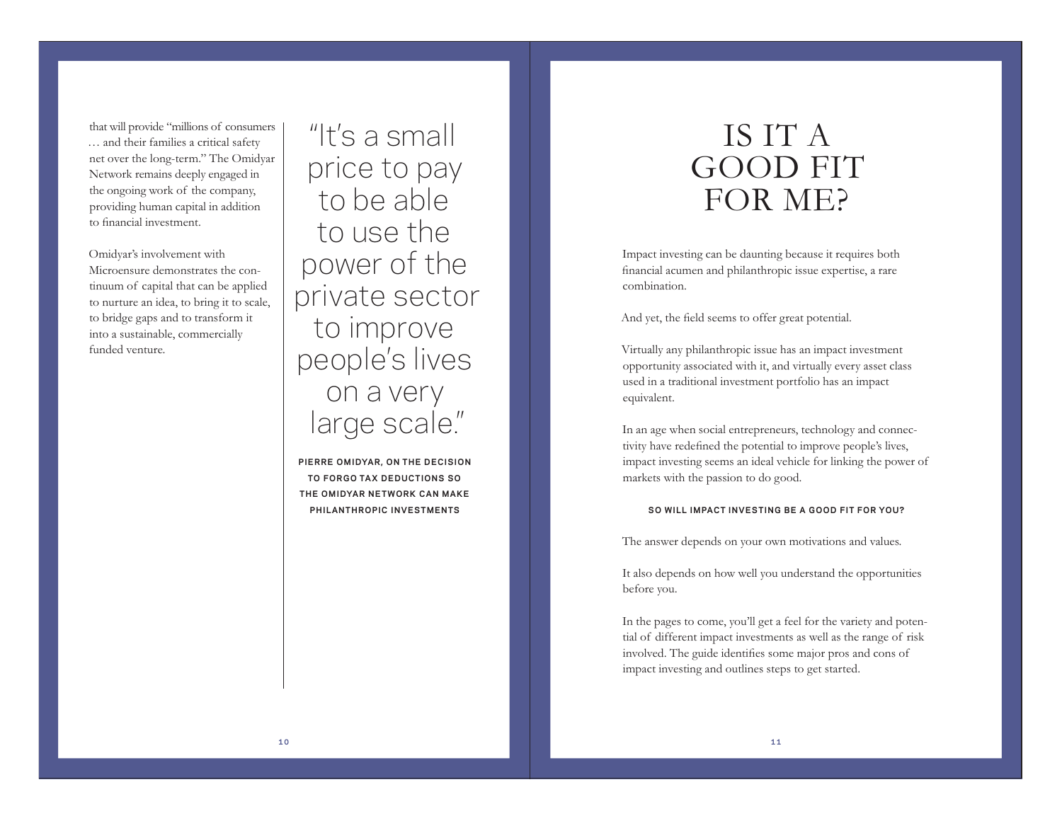that will provide "millions of consumers … and their families a critical safety net over the long-term." The Omidyar Network remains deeply engaged in the ongoing work of the company, providing human capital in addition to financial investment.

Omidyar's involvement with Microensure demonstrates the continuum of capital that can be applied to nurture an idea, to bring it to scale, to bridge gaps and to transform it into a sustainable, commercially funded venture.

"It's a small price to pay to be able to use the power of the private sector to improve people's lives on a very large scale."

**PIERRE OMIDYAR, ON THE DECISION TO FORGO TAX DEDUCTIONS SO THE OMIDYAR NETWORK CAN MAKE PHILANTHROPIC INVESTMENTS**

# IS IT A GOOD FIT FOR ME?

Impact investing can be daunting because it requires both financial acumen and philanthropic issue expertise, a rare combination.

And yet, the field seems to offer great potential.

Virtually any philanthropic issue has an impact investment opportunity associated with it, and virtually every asset class used in a traditional investment portfolio has an impact equivalent.

In an age when social entrepreneurs, technology and connectivity have redefined the potential to improve people's lives, impact investing seems an ideal vehicle for linking the power of markets with the passion to do good.

### **SO WILL IMPACT INVESTING BE A GOOD FIT FOR YOU?**

The answer depends on your own motivations and values.

It also depends on how well you understand the opportunities before you.

In the pages to come, you'll get a feel for the variety and potential of different impact investments as well as the range of risk involved. The guide identifies some major pros and cons of impact investing and outlines steps to get started.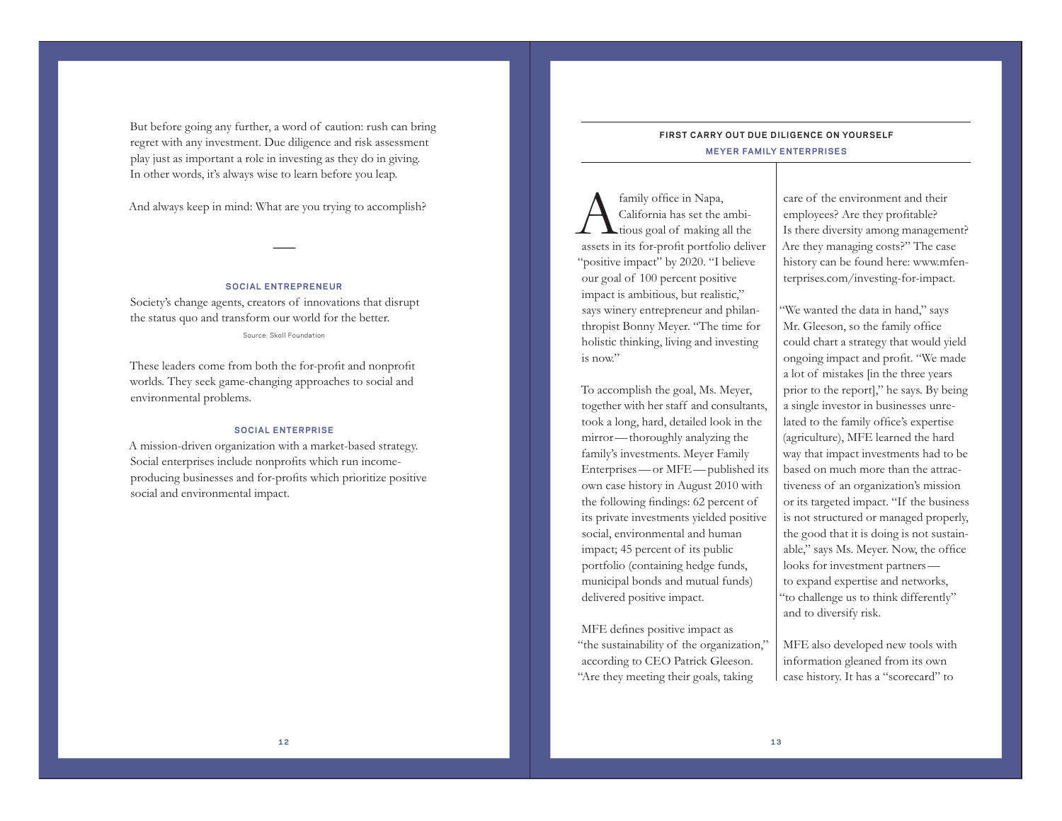But before going any further, a word of caution: rush can bring regret with any investment. Due diligence and risk assessment play just as important a role in investing as they do in giving. In other words, it's always wise to learn before you leap.

And always keep in mind: What are you trying to accomplish?

# **SOCIAL ENTREPRENEUR**

—

Society's change agents, creators of innovations that disrupt the status quo and transform our world for the better.

Source: Skoll Foundation

These leaders come from both the for-profit and nonprofit worlds. They seek game-changing approaches to social and environmental problems.

# **SOCIAL ENTERPRISE**

A mission-driven organization with a market-based strategy. Social enterprises include nonprofits which run incomeproducing businesses and for-profits which prioritize positive social and environmental impact.

# **FIRST CARRY OUT DUE DILIGENCE ON YOURSELF MEYER FAMILY ENTERPRISES**

family office in Napa,<br>California has set the ambi-<br>tious goal of making all the assets in its for-profit portfolio deliver "positive impact" by 2020. "I believe our goal of 100 percent positive impact is ambitious, but realistic," says winery entrepreneur and philanthropist Bonny Meyer. "The time for holistic thinking, living and investing is now."

To accomplish the goal, Ms. Meyer, together with her staff and consultants, took a long, hard, detailed look in the mirror—thoroughly analyzing the family's investments. Meyer Family Enterprises—or MFE—published its own case history in August 2010 with the following findings: 62 percent of its private investments yielded positive social, environmental and human impact; 45 percent of its public portfolio (containing hedge funds, municipal bonds and mutual funds) delivered positive impact.

MFE defines positive impact as "the sustainability of the organization," according to CEO Patrick Gleeson. "Are they meeting their goals, taking

care of the environment and their employees? Are they profitable? Is there diversity among management? Are they managing costs?" The case history can be found here: www.mfenterprises.com/investing-for-impact.

"We wanted the data in hand," says Mr. Gleeson, so the family office could chart a strategy that would yield ongoing impact and profit. "We made a lot of mistakes [in the three years prior to the report]," he says. By being a single investor in businesses unrelated to the family office's expertise (agriculture), MFE learned the hard way that impact investments had to be based on much more than the attractiveness of an organization's mission or its targeted impact. "If the business is not structured or managed properly, the good that it is doing is not sustainable," says Ms. Meyer. Now, the office looks for investment partners to expand expertise and networks, "to challenge us to think differently" and to diversify risk.

MFE also developed new tools with information gleaned from its own case history. It has a "scorecard" to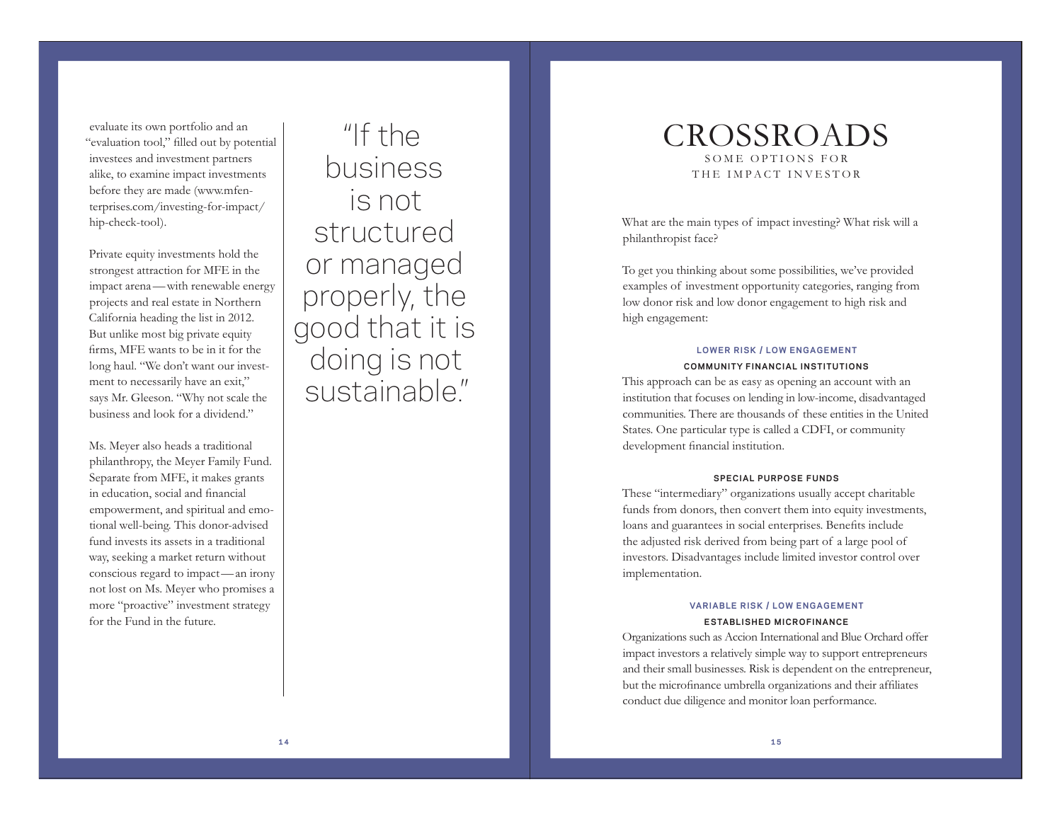evaluate its own portfolio and an "evaluation tool," filled out by potential investees and investment partners alike, to examine impact investments before they are made (www.mfenterprises.com/investing-for-impact/ hip-check-tool).

Private equity investments hold the strongest attraction for MFE in the impact arena—with renewable energy projects and real estate in Northern California heading the list in 2012. But unlike most big private equity firms, MFE wants to be in it for the long haul. "We don't want our investment to necessarily have an exit," says Mr. Gleeson. "Why not scale the business and look for a dividend."

Ms. Meyer also heads a traditional philanthropy, the Meyer Family Fund. Separate from MFE, it makes grants in education, social and financial empowerment, and spiritual and emotional well-being. This donor-advised fund invests its assets in a traditional way, seeking a market return without conscious regard to impact—an irony not lost on Ms. Meyer who promises a more "proactive" investment strategy for the Fund in the future.

"If the business is not structured or managed properly, the good that it is doing is not sustainable."

# CROSSROADS SOME OPTIONS FOR THE IMPACT INVESTOR

What are the main types of impact investing? What risk will a philanthropist face?

To get you thinking about some possibilities, we've provided examples of investment opportunity categories, ranging from low donor risk and low donor engagement to high risk and high engagement:

# **LOWER RISK / LOW ENGAGEMENT**

# **COMMUNITY FINANCIAL INSTITUTIONS**

This approach can be as easy as opening an account with an institution that focuses on lending in low-income, disadvantaged communities. There are thousands of these entities in the United States. One particular type is called a CDFI, or community development financial institution.

# **SPECIAL PURPOSE FUNDS**

These "intermediary" organizations usually accept charitable funds from donors, then convert them into equity investments, loans and guarantees in social enterprises. Benefits include the adjusted risk derived from being part of a large pool of investors. Disadvantages include limited investor control over implementation.

# **VARIABLE RISK / LOW ENGAGEMENT ESTABLISHED MICROFINANCE**

Organizations such as Accion International and Blue Orchard offer impact investors a relatively simple way to support entrepreneurs and their small businesses. Risk is dependent on the entrepreneur, but the microfinance umbrella organizations and their affiliates conduct due diligence and monitor loan performance.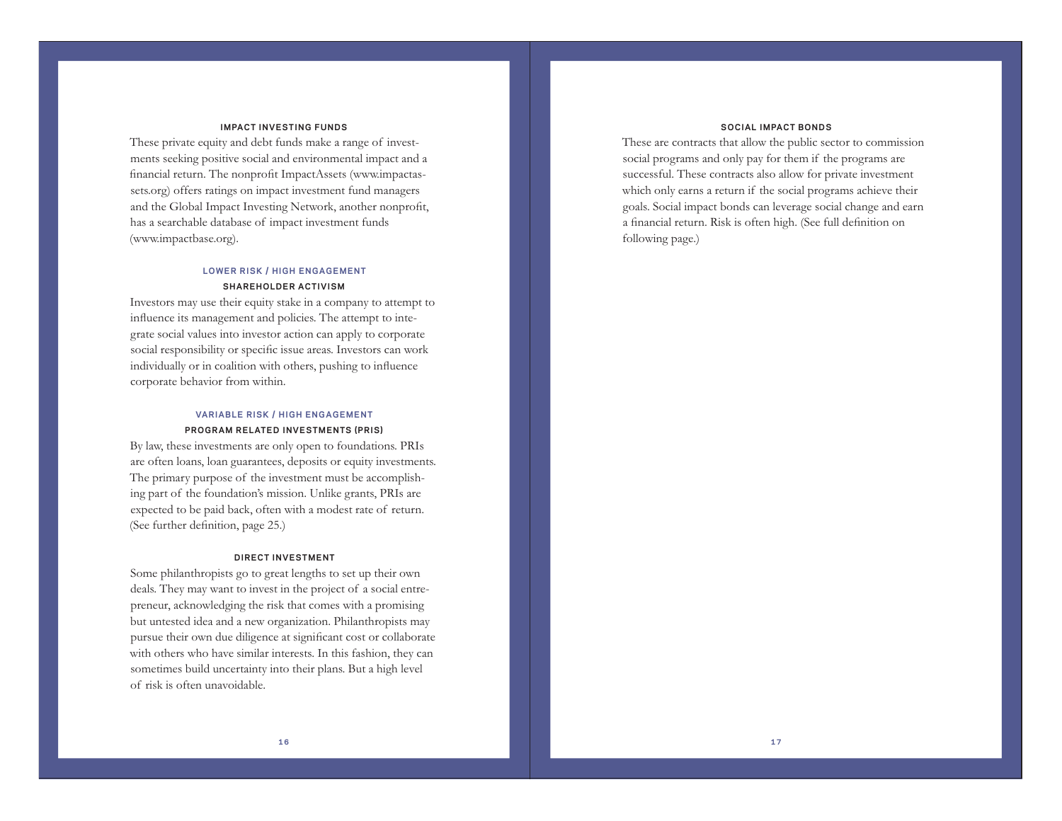## **IMPACT INVESTING FUNDS**

These private equity and debt funds make a range of investments seeking positive social and environmental impact and a financial return. The nonprofit ImpactAssets (www.impactassets.org) offers ratings on impact investment fund managers and the Global Impact Investing Network, another nonprofit, has a searchable database of impact investment funds (www.impactbase.org).

# **LOWER RISK / HIGH ENGAGEMENT SHAREHOLDER ACTIVISM**

Investors may use their equity stake in a company to attempt to influence its management and policies. The attempt to integrate social values into investor action can apply to corporate social responsibility or specific issue areas. Investors can work individually or in coalition with others, pushing to influence corporate behavior from within.

# **VARIABLE RISK / HIGH ENGAGEMENT PROGRAM RELATED INVESTMENTS (PRIS)**

By law, these investments are only open to foundations. PRIs are often loans, loan guarantees, deposits or equity investments. The primary purpose of the investment must be accomplishing part of the foundation's mission. Unlike grants, PRIs are expected to be paid back, often with a modest rate of return. (See further definition, page 25.)

## **DIRECT INVESTMENT**

Some philanthropists go to great lengths to set up their own deals. They may want to invest in the project of a social entrepreneur, acknowledging the risk that comes with a promising but untested idea and a new organization. Philanthropists may pursue their own due diligence at significant cost or collaborate with others who have similar interests. In this fashion, they can sometimes build uncertainty into their plans. But a high level of risk is often unavoidable.

# **SOCIAL IMPACT BONDS**

These are contracts that allow the public sector to commission social programs and only pay for them if the programs are successful. These contracts also allow for private investment which only earns a return if the social programs achieve their goals. Social impact bonds can leverage social change and earn a financial return. Risk is often high. (See full definition on following page.)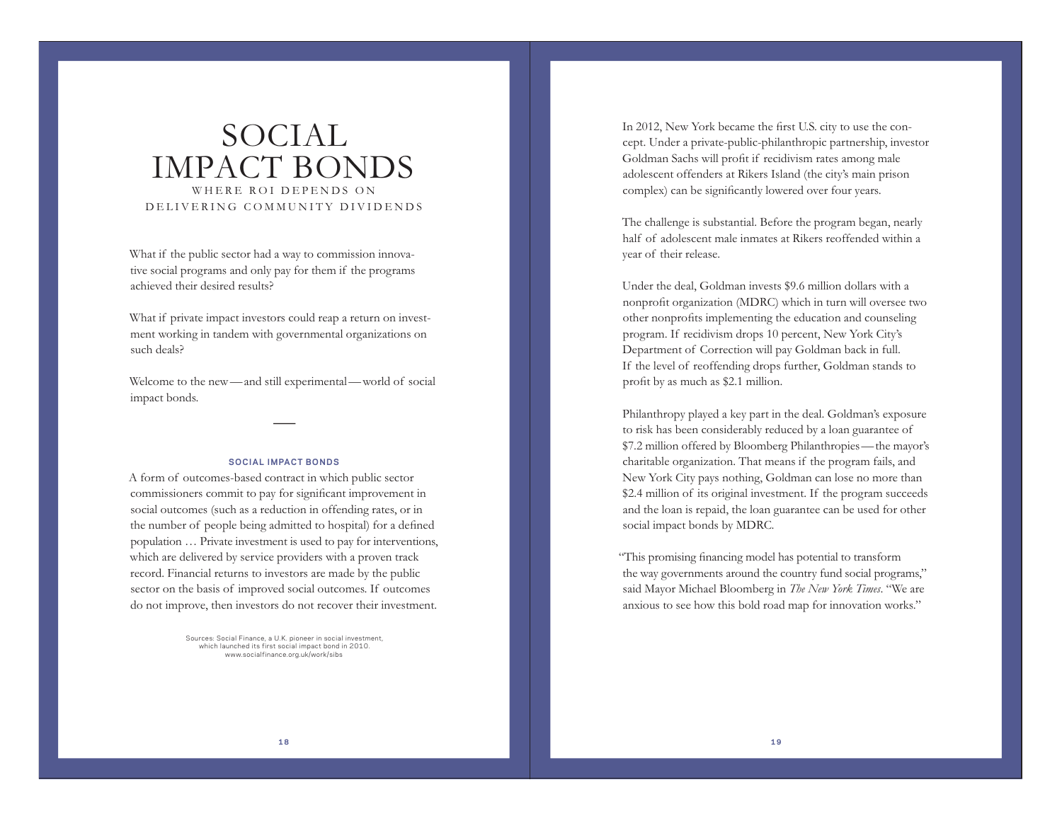# SOCIAL IMPACT BONDS WHERE ROI DEPENDS ON DELIVERING COMMUNITY DIVIDENDS

What if the public sector had a way to commission innovative social programs and only pay for them if the programs achieved their desired results?

What if private impact investors could reap a return on investment working in tandem with governmental organizations on such deals?

Welcome to the new—and still experimental—world of social impact bonds.

and the control of the control of the control of the

## **SOCIAL IMPACT BONDS**

A form of outcomes-based contract in which public sector commissioners commit to pay for significant improvement in social outcomes (such as a reduction in offending rates, or in the number of people being admitted to hospital) for a defined population … Private investment is used to pay for interventions, which are delivered by service providers with a proven track record. Financial returns to investors are made by the public sector on the basis of improved social outcomes. If outcomes do not improve, then investors do not recover their investment.

> Sources: Social Finance, a U.K. pioneer in social investment, which launched its first social impact bond in 2010. www.socialfinance.org.uk/work/sibs

In 2012, New York became the first U.S. city to use the concept. Under a private-public-philanthropic partnership, investor Goldman Sachs will profit if recidivism rates among male adolescent offenders at Rikers Island (the city's main prison complex) can be significantly lowered over four years.

The challenge is substantial. Before the program began, nearly half of adolescent male inmates at Rikers reoffended within a year of their release.

Under the deal, Goldman invests \$9.6 million dollars with a nonprofit organization (MDRC) which in turn will oversee two other nonprofits implementing the education and counseling program. If recidivism drops 10 percent, New York City's Department of Correction will pay Goldman back in full. If the level of reoffending drops further, Goldman stands to profit by as much as \$2.1 million.

Philanthropy played a key part in the deal. Goldman's exposure to risk has been considerably reduced by a loan guarantee of \$7.2 million offered by Bloomberg Philanthropies—the mayor's charitable organization. That means if the program fails, and New York City pays nothing, Goldman can lose no more than \$2.4 million of its original investment. If the program succeeds and the loan is repaid, the loan guarantee can be used for other social impact bonds by MDRC.

"This promising financing model has potential to transform the way governments around the country fund social programs," said Mayor Michael Bloomberg in *The New York Times*. "We are anxious to see how this bold road map for innovation works."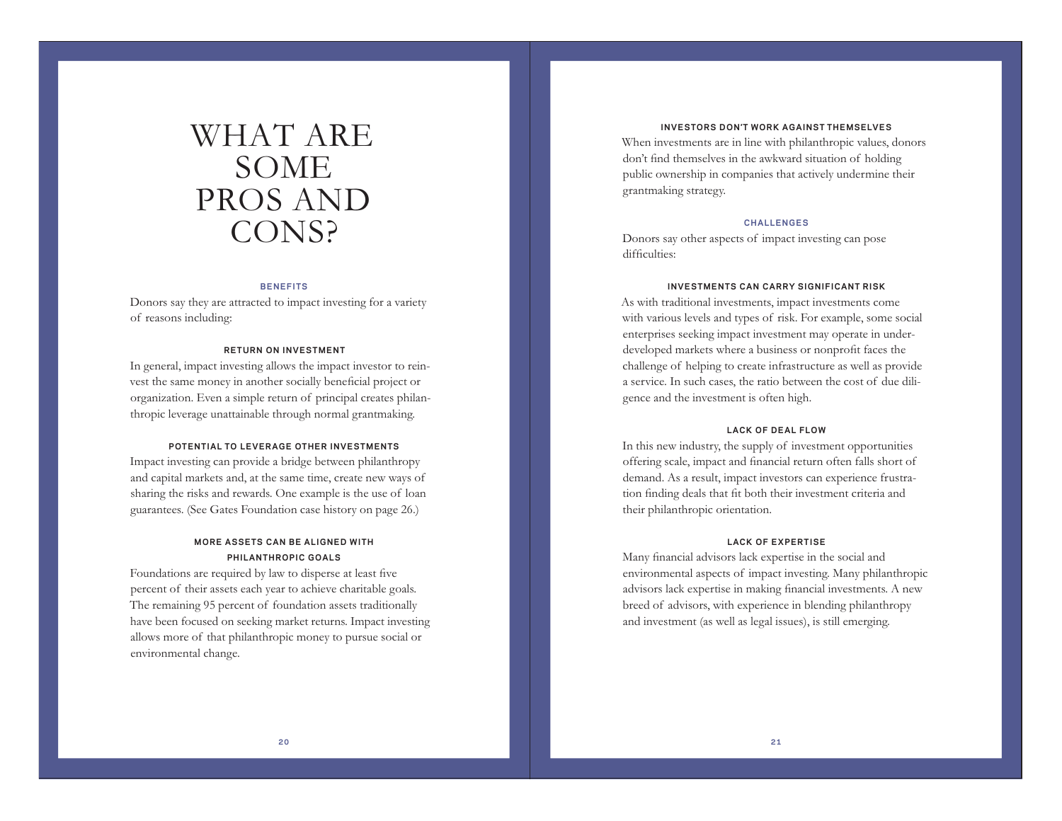# WHAT ARE SOME PROS AND CONS?

# **BENEFITS**

Donors say they are attracted to impact investing for a variety of reasons including:

# **RETURN ON INVESTMENT**

In general, impact investing allows the impact investor to reinvest the same money in another socially beneficial project or organization. Even a simple return of principal creates philanthropic leverage unattainable through normal grantmaking.

# **POTENTIAL TO LEVERAGE OTHER INVESTMENTS**

Impact investing can provide a bridge between philanthropy and capital markets and, at the same time, create new ways of sharing the risks and rewards. One example is the use of loan guarantees. (See Gates Foundation case history on page 26.)

# **MORE ASSETS CAN BE ALIGNED WITH PHILANTHROPIC GOALS**

Foundations are required by law to disperse at least five percent of their assets each year to achieve charitable goals. The remaining 95 percent of foundation assets traditionally have been focused on seeking market returns. Impact investing allows more of that philanthropic money to pursue social or environmental change.

# **INVESTORS DON'T WORK AGAINST THEMSELVES**

When investments are in line with philanthropic values, donors don't find themselves in the awkward situation of holding public ownership in companies that actively undermine their grantmaking strategy.

### **CHALLENGES**

Donors say other aspects of impact investing can pose difficulties:

# **INVESTMENTS CAN CARRY SIGNIFICANT RISK**

As with traditional investments, impact investments come with various levels and types of risk. For example, some social enterprises seeking impact investment may operate in underdeveloped markets where a business or nonprofit faces the challenge of helping to create infrastructure as well as provide a service. In such cases, the ratio between the cost of due diligence and the investment is often high.

# **LACK OF DEAL FLOW**

In this new industry, the supply of investment opportunities offering scale, impact and financial return often falls short of demand. As a result, impact investors can experience frustration finding deals that fit both their investment criteria and their philanthropic orientation.

### **LACK OF EXPERTISE**

Many financial advisors lack expertise in the social and environmental aspects of impact investing. Many philanthropic advisors lack expertise in making financial investments. A new breed of advisors, with experience in blending philanthropy and investment (as well as legal issues), is still emerging.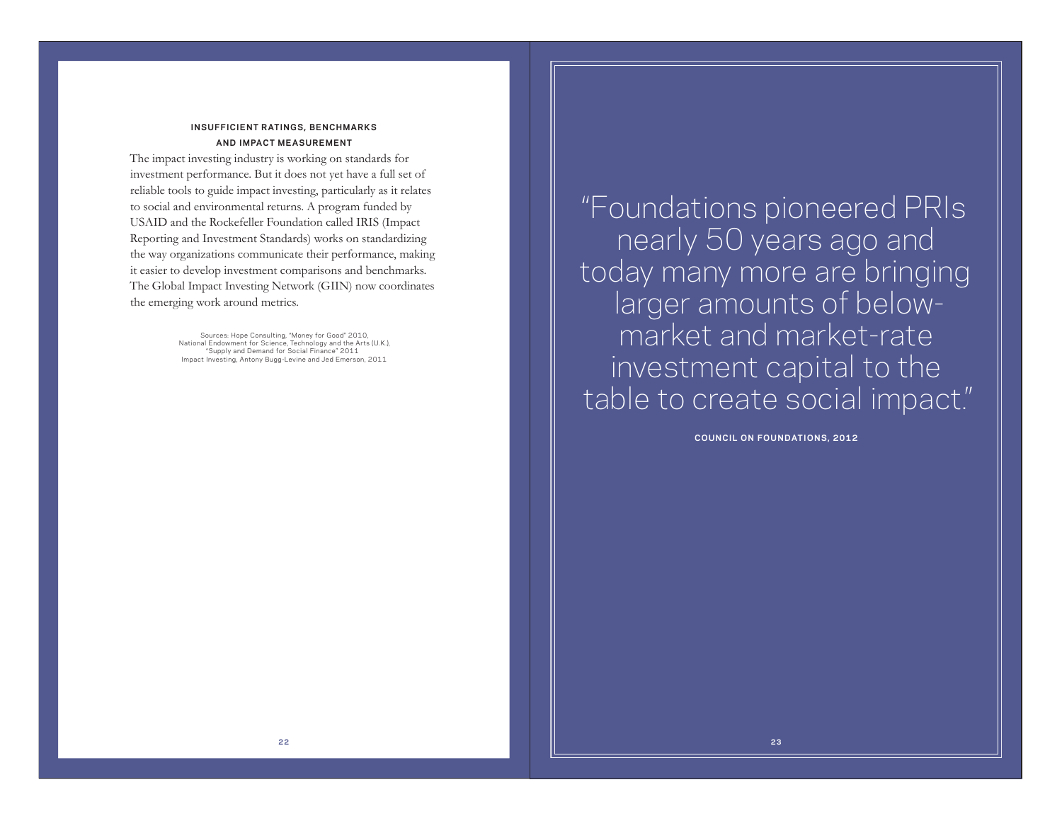# **INSUFFICIENT RATINGS, BENCHMARKS AND IMPACT MEASUREMENT**

The impact investing industry is working on standards for investment performance. But it does not yet have a full set of reliable tools to guide impact investing, particularly as it relates to social and environmental returns. A program funded by USAID and the Rockefeller Foundation called IRIS (Impact Reporting and Investment Standards) works on standardizing the way organizations communicate their performance, making it easier to develop investment comparisons and benchmarks. The Global Impact Investing Network (GIIN) now coordinates the emerging work around metrics.

> Sources: Hope Consulting, "Money for Good" 2010, National Endowment for Science, Technology and the Arts (U.K.), "Supply and Demand for Social Finance" 2011 Impact Investing, Antony Bugg-Levine and Jed Emerson, 2011

"Foundations pioneered PRIs nearly 50 years ago and today many more are bringing larger amounts of belowmarket and market-rate investment capital to the table to create social impact."

**COUNCIL ON FOUNDATIONS, 2012**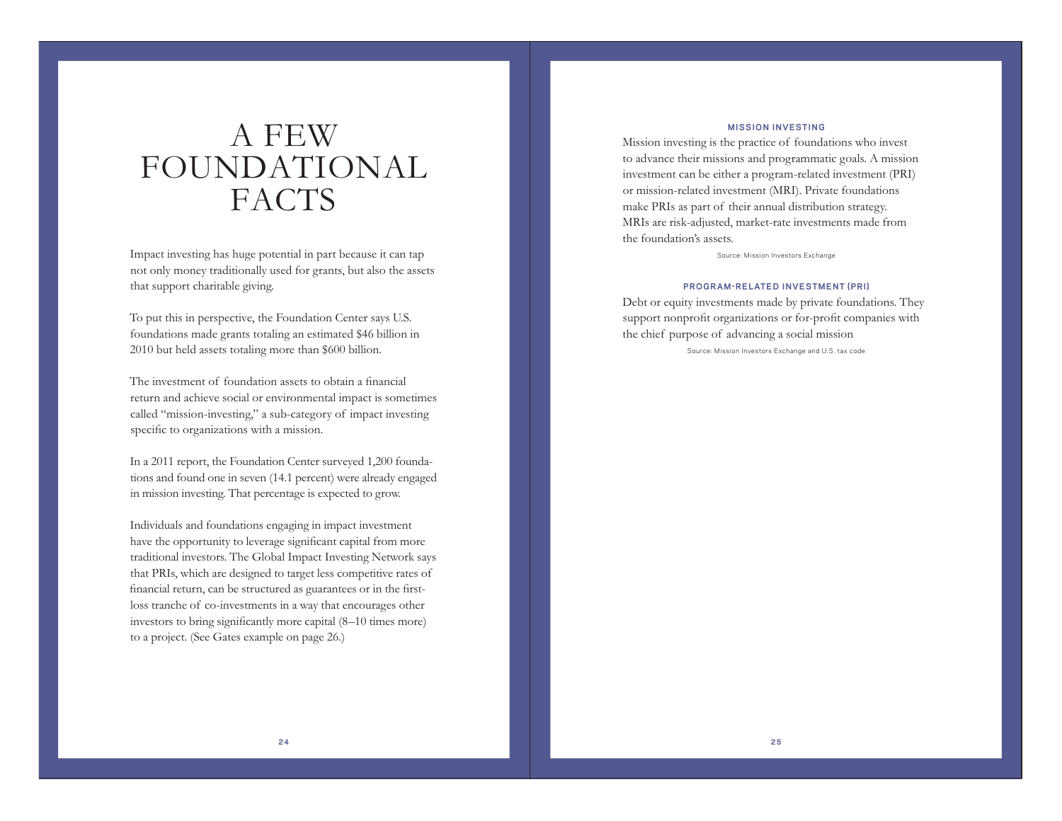# A FEW FOUNDATIONAL **FACTS**

Impact investing has huge potential in part because it can tap not only money traditionally used for grants, but also the assets that support charitable giving.

To put this in perspective, the Foundation Center says U.S. foundations made grants totaling an estimated \$46 billion in 2010 but held assets totaling more than \$600 billion.

The investment of foundation assets to obtain a financial return and achieve social or environmental impact is sometimes called "mission-investing," a sub-category of impact investing specific to organizations with a mission.

In a 2011 report, the Foundation Center surveyed 1,200 foundations and found one in seven (14.1 percent) were already engaged in mission investing. That percentage is expected to grow.

Individuals and foundations engaging in impact investment have the opportunity to leverage significant capital from more traditional investors. The Global Impact Investing Network says that PRIs, which are designed to target less competitive rates of financial return, can be structured as guarantees or in the firstloss tranche of co-investments in a way that encourages other investors to bring significantly more capital (8–10 times more) to a project. (See Gates example on page 26.)

# **MISSION INVESTING**

Mission investing is the practice of foundations who invest to advance their missions and programmatic goals. A mission investment can be either a program-related investment (PRI) or mission-related investment (MRI). Private foundations make PRIs as part of their annual distribution strategy. MRIs are risk-adjusted, market-rate investments made from the foundation's assets.

Source: Mission Investors Exchange

### **PROGRAM-RELATED INVESTMENT (PRI)**

Debt or equity investments made by private foundations. They support nonprofit organizations or for-profit companies with the chief purpose of advancing a social mission

Source: Mission Investors Exchange and U.S. tax code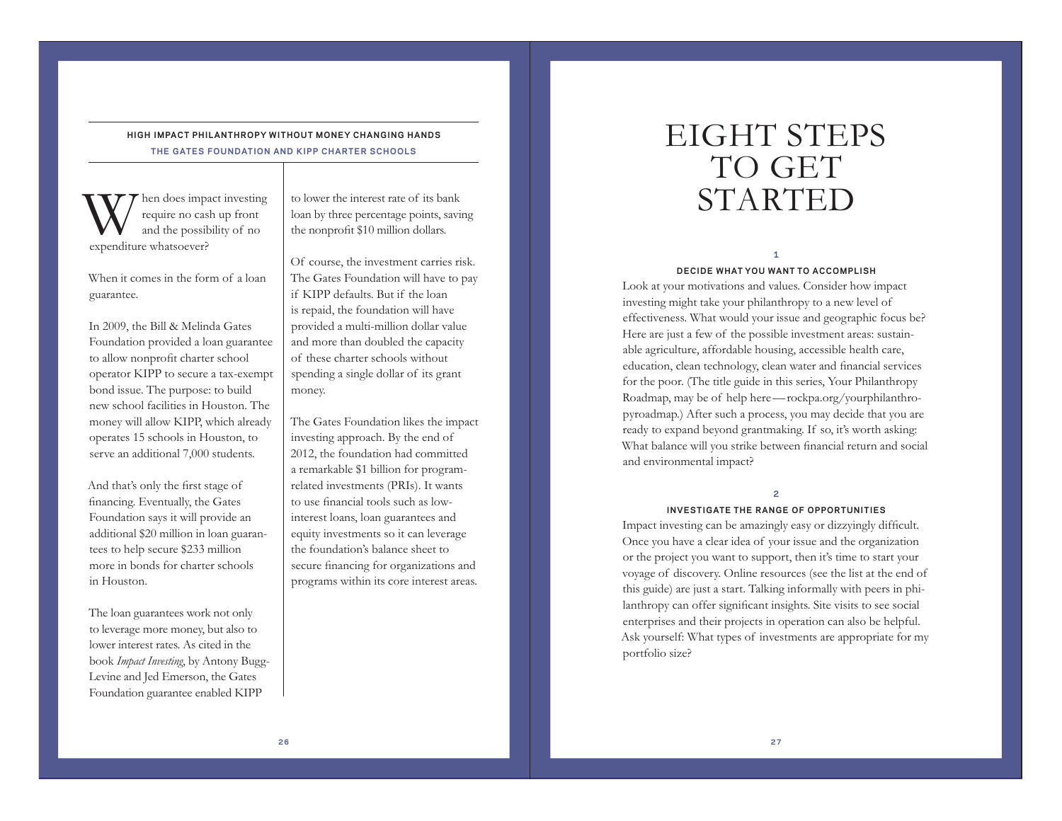# **HIGH IMPACT PHILANTHROPY WITHOUT MONEY CHANGING HANDS THE GATES FOUNDATION AND KIPP CHARTER SCHOOLS**

When does impact investing require no cash up front and the possibility of no expenditure whatsoever?

When it comes in the form of a loan guarantee.

In 2009, the Bill & Melinda Gates Foundation provided a loan guarantee to allow nonprofit charter school operator KIPP to secure a tax-exempt bond issue. The purpose: to build new school facilities in Houston. The money will allow KIPP, which already operates 15 schools in Houston, to serve an additional 7,000 students.

And that's only the first stage of financing. Eventually, the Gates Foundation says it will provide an additional \$20 million in loan guarantees to help secure \$233 million more in bonds for charter schools in Houston.

The loan guarantees work not only to leverage more money, but also to lower interest rates. As cited in the book *Impact Investing*, by Antony Bugg-Levine and Jed Emerson, the Gates Foundation guarantee enabled KIPP

to lower the interest rate of its bank loan by three percentage points, saving the nonprofit \$10 million dollars.

Of course, the investment carries risk. The Gates Foundation will have to pay if KIPP defaults. But if the loan is repaid, the foundation will have provided a multi-million dollar value and more than doubled the capacity of these charter schools without spending a single dollar of its grant money.

The Gates Foundation likes the impact investing approach. By the end of 2012, the foundation had committed a remarkable \$1 billion for programrelated investments (PRIs). It wants to use financial tools such as lowinterest loans, loan guarantees and equity investments so it can leverage the foundation's balance sheet to secure financing for organizations and programs within its core interest areas.

# EIGHT STEPS TO GET STARTED

### **1 DECIDE WHAT YOU WANT TO ACCOMPLISH**

Look at your motivations and values. Consider how impact investing might take your philanthropy to a new level of effectiveness. What would your issue and geographic focus be? Here are just a few of the possible investment areas: sustainable agriculture, affordable housing, accessible health care, education, clean technology, clean water and financial services for the poor. (The title guide in this series, Your Philanthropy Roadmap, may be of help here —rockpa.org/yourphilanthropyroadmap.) After such a process, you may decide that you are ready to expand beyond grantmaking. If so, it's worth asking: What balance will you strike between financial return and social and environmental impact?

**2**

# **INVESTIGATE THE RANGE OF OPPORTUNITIES**

Impact investing can be amazingly easy or dizzyingly difficult. Once you have a clear idea of your issue and the organization or the project you want to support, then it's time to start your voyage of discovery. Online resources (see the list at the end of this guide) are just a start. Talking informally with peers in philanthropy can offer significant insights. Site visits to see social enterprises and their projects in operation can also be helpful. Ask yourself: What types of investments are appropriate for my portfolio size?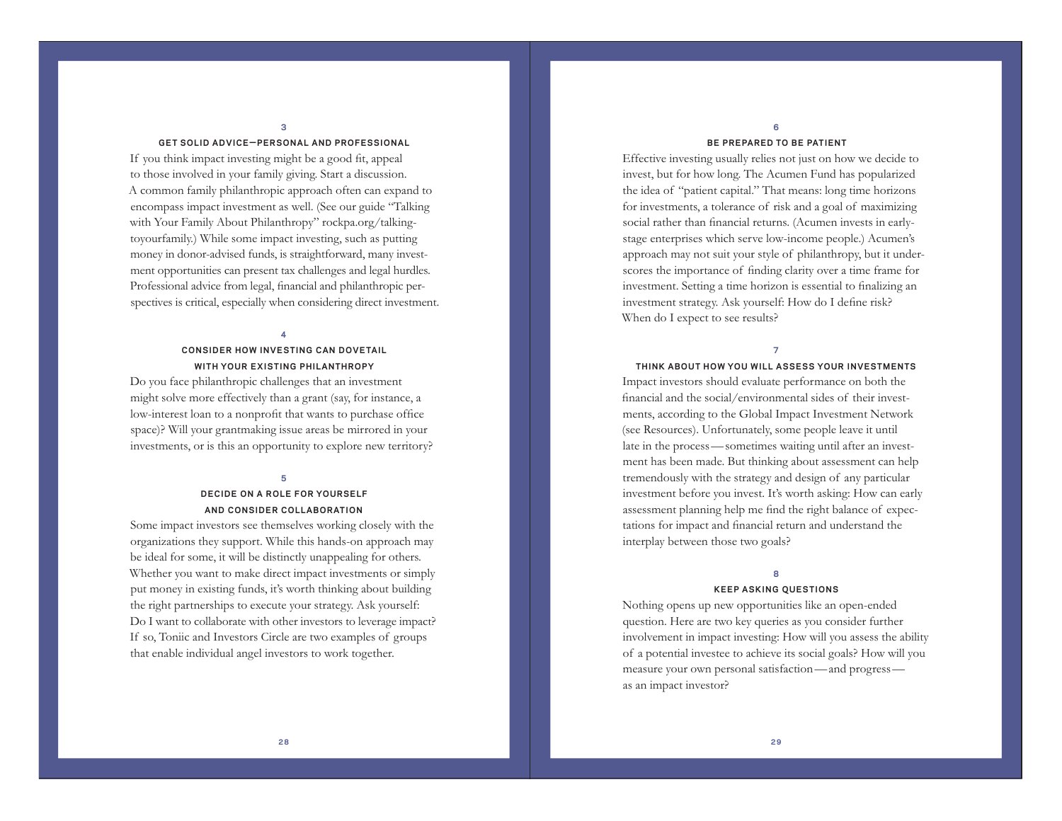#### **3**

### **GET SOLID ADVICE—PERSONAL AND PROFESSIONAL**

If you think impact investing might be a good fit, appeal to those involved in your family giving. Start a discussion. A common family philanthropic approach often can expand to encompass impact investment as well. (See our guide "Talking with Your Family About Philanthropy" rockpa.org/talkingtoyourfamily.) While some impact investing, such as putting money in donor-advised funds, is straightforward, many investment opportunities can present tax challenges and legal hurdles. Professional advice from legal, financial and philanthropic perspectives is critical, especially when considering direct investment.

#### **4**

# **CONSIDER HOW INVESTING CAN DOVETAIL WITH YOUR EXISTING PHILANTHROPY**

Do you face philanthropic challenges that an investment might solve more effectively than a grant (say, for instance, a low-interest loan to a nonprofit that wants to purchase office space)? Will your grantmaking issue areas be mirrored in your investments, or is this an opportunity to explore new territory?

### **5**

# **DECIDE ON A ROLE FOR YOURSELF AND CONSIDER COLLABORATION**

Some impact investors see themselves working closely with the organizations they support. While this hands-on approach may be ideal for some, it will be distinctly unappealing for others. Whether you want to make direct impact investments or simply put money in existing funds, it's worth thinking about building the right partnerships to execute your strategy. Ask yourself: Do I want to collaborate with other investors to leverage impact? If so, Toniic and Investors Circle are two examples of groups that enable individual angel investors to work together.

#### **6**

## **BE PREPARED TO BE PATIENT**

Effective investing usually relies not just on how we decide to invest, but for how long. The Acumen Fund has popularized the idea of "patient capital." That means: long time horizons for investments, a tolerance of risk and a goal of maximizing social rather than financial returns. (Acumen invests in earlystage enterprises which serve low-income people.) Acumen's approach may not suit your style of philanthropy, but it underscores the importance of finding clarity over a time frame for investment. Setting a time horizon is essential to finalizing an investment strategy. Ask yourself: How do I define risk? When do I expect to see results?

**7**

# **THINK ABOUT HOW YOU WILL ASSESS YOUR INVESTMENTS**

Impact investors should evaluate performance on both the financial and the social/environmental sides of their investments, according to the Global Impact Investment Network (see Resources). Unfortunately, some people leave it until late in the process—sometimes waiting until after an investment has been made. But thinking about assessment can help tremendously with the strategy and design of any particular investment before you invest. It's worth asking: How can early assessment planning help me find the right balance of expectations for impact and financial return and understand the interplay between those two goals?

### **8**

# **KEEP ASKING QUESTIONS**

Nothing opens up new opportunities like an open-ended question. Here are two key queries as you consider further involvement in impact investing: How will you assess the ability of a potential investee to achieve its social goals? How will you measure your own personal satisfaction—and progress as an impact investor?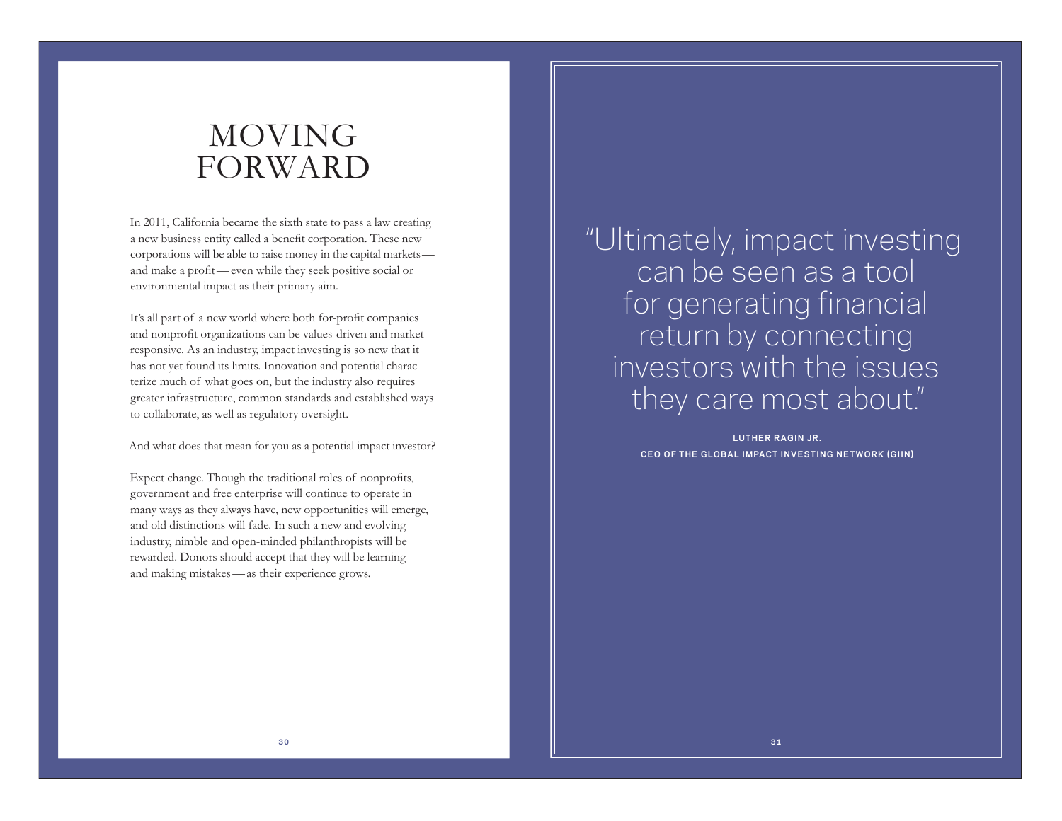# MOVING FORWARD

In 2011, California became the sixth state to pass a law creating a new business entity called a benefit corporation. These new corporations will be able to raise money in the capital markets and make a profit—even while they seek positive social or environmental impact as their primary aim.

It's all part of a new world where both for-profit companies and nonprofit organizations can be values-driven and marketresponsive. As an industry, impact investing is so new that it has not yet found its limits. Innovation and potential characterize much of what goes on, but the industry also requires greater infrastructure, common standards and established ways to collaborate, as well as regulatory oversight.

And what does that mean for you as a potential impact investor?

Expect change. Though the traditional roles of nonprofits, government and free enterprise will continue to operate in many ways as they always have, new opportunities will emerge, and old distinctions will fade. In such a new and evolving industry, nimble and open-minded philanthropists will be rewarded. Donors should accept that they will be learning and making mistakes—as their experience grows.

"Ultimately, impact investing can be seen as a tool for generating financial return by connecting investors with the issues they care most about."

> **LUTHER RAGIN JR. CEO OF THE GLOBAL IMPACT INVESTING NETWORK (GIIN)**